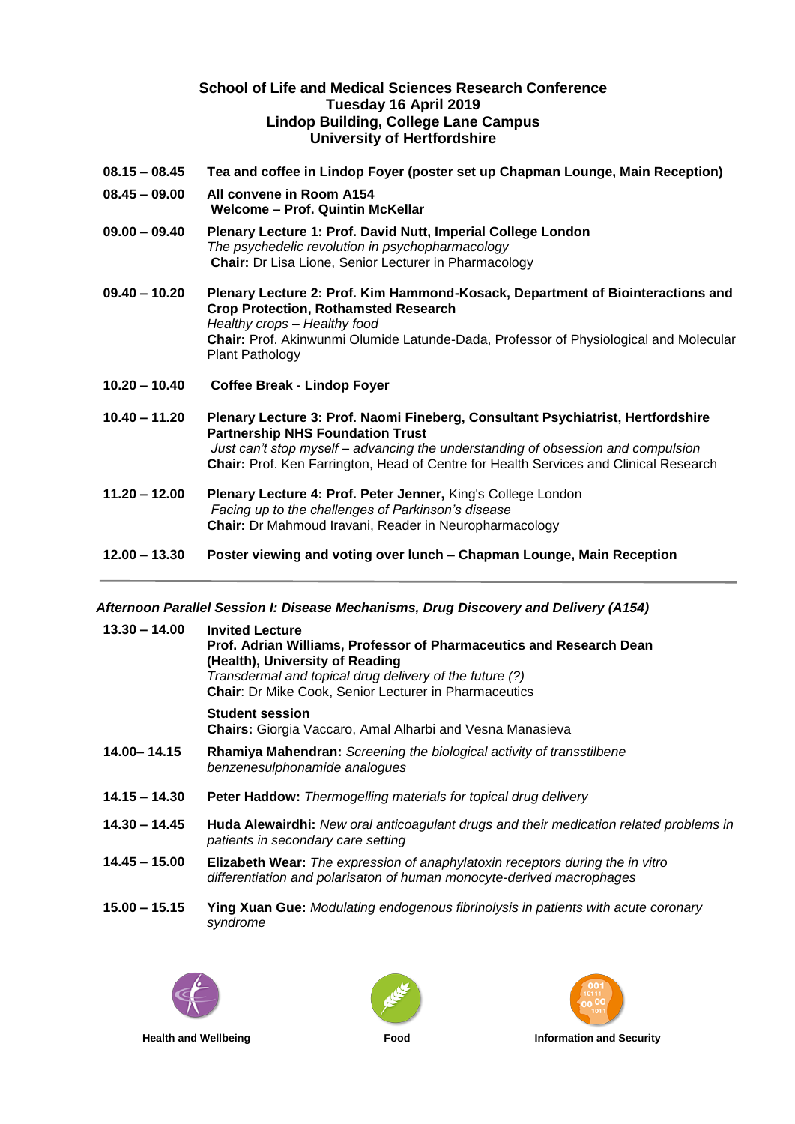## **School of Life and Medical Sciences Research Conference Tuesday 16 April 2019 Lindop Building, College Lane Campus University of Hertfordshire**

- **08.15 – 08.45 Tea and coffee in Lindop Foyer (poster set up Chapman Lounge, Main Reception)**
- **08.45 – 09.00 All convene in Room A154 Welcome – Prof. Quintin McKellar**
- **09.00 – 09.40 Plenary Lecture 1: Prof. David Nutt, Imperial College London** *The psychedelic revolution in psychopharmacology* **Chair:** Dr Lisa Lione, Senior Lecturer in Pharmacology
- **09.40 – 10.20 Plenary Lecture 2: Prof. Kim Hammond-Kosack, Department of Biointeractions and Crop Protection, Rothamsted Research** *Healthy crops – Healthy food* **Chair:** Prof. Akinwunmi Olumide Latunde-Dada, Professor of Physiological and Molecular Plant Pathology
- **10.20 – 10.40 Coffee Break - Lindop Foyer**
- **10.40 – 11.20 Plenary Lecture 3: Prof. Naomi Fineberg, Consultant Psychiatrist, Hertfordshire Partnership NHS Foundation Trust** *Just can't stop myself – advancing the understanding of obsession and compulsion* **Chair:** Prof. Ken Farrington, Head of Centre for Health Services and Clinical Research
- **11.20 – 12.00 Plenary Lecture 4: Prof. Peter Jenner,** King's College London *Facing up to the challenges of Parkinson's disease* **Chair:** Dr Mahmoud Iravani, Reader in Neuropharmacology
- **12.00 – 13.30 Poster viewing and voting over lunch – Chapman Lounge, Main Reception**

## *Afternoon Parallel Session I: Disease Mechanisms, Drug Discovery and Delivery (A154)*

| $13.30 - 14.00$ | <b>Invited Lecture</b><br>Prof. Adrian Williams, Professor of Pharmaceutics and Research Dean<br>(Health), University of Reading                              |
|-----------------|---------------------------------------------------------------------------------------------------------------------------------------------------------------|
|                 | Transdermal and topical drug delivery of the future (?)<br><b>Chair: Dr Mike Cook, Senior Lecturer in Pharmaceutics</b>                                       |
|                 | <b>Student session</b><br><b>Chairs:</b> Giorgia Vaccaro, Amal Alharbi and Vesna Manasieva                                                                    |
| 14.00 - 14.15   | Rhamiya Mahendran: Screening the biological activity of transstilbene<br>benzenesulphonamide analogues                                                        |
| $14.15 - 14.30$ | <b>Peter Haddow:</b> Thermogelling materials for topical drug delivery                                                                                        |
| $14.30 - 14.45$ | Huda Alewairdhi: New oral anticoagulant drugs and their medication related problems in<br>patients in secondary care setting                                  |
| $14.45 - 15.00$ | <b>Elizabeth Wear:</b> The expression of anaphylatoxin receptors during the in vitro<br>differentiation and polarisaton of human monocyte-derived macrophages |
| $15.00 - 15.15$ | <b>Ying Xuan Gue:</b> Modulating endogenous fibrinolysis in patients with acute coronary<br>syndrome                                                          |